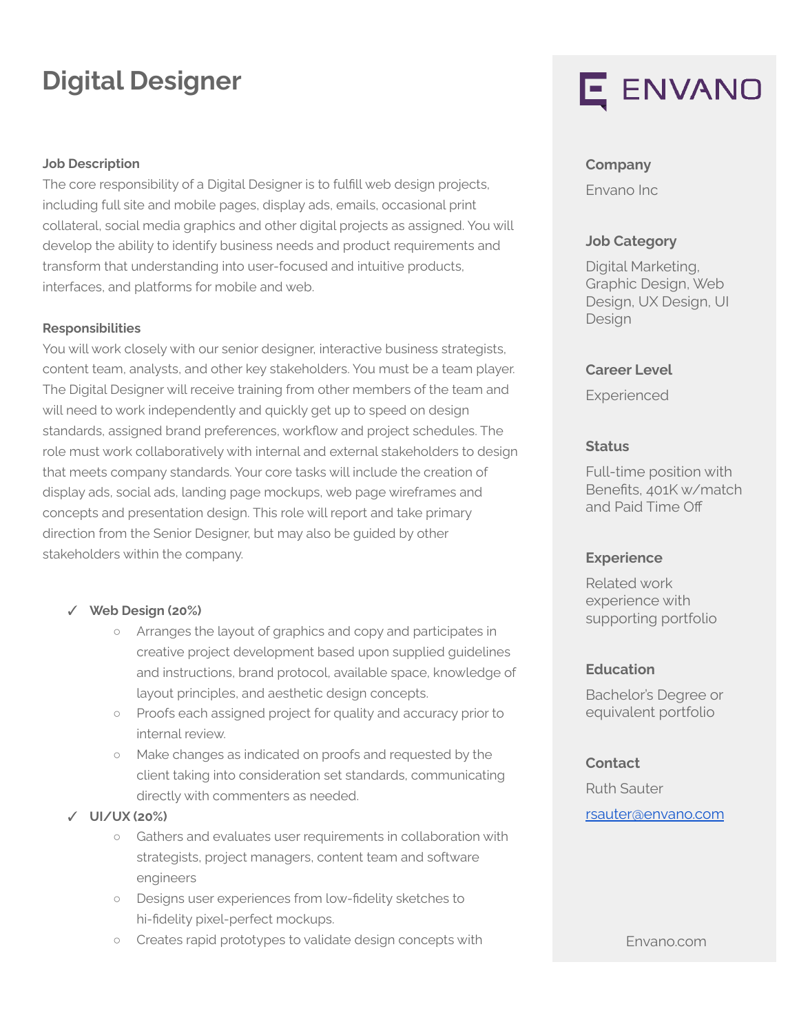# **Digital Designer**

#### **Job Description**

The core responsibility of a Digital Designer is to fulfill web design projects, including full site and mobile pages, display ads, emails, occasional print collateral, social media graphics and other digital projects as assigned. You will develop the ability to identify business needs and product requirements and transform that understanding into user-focused and intuitive products, interfaces, and platforms for mobile and web.

#### **Responsibilities**

You will work closely with our senior designer, interactive business strategists, content team, analysts, and other key stakeholders. You must be a team player. The Digital Designer will receive training from other members of the team and will need to work independently and quickly get up to speed on design standards, assigned brand preferences, workflow and project schedules. The role must work collaboratively with internal and external stakeholders to design that meets company standards. Your core tasks will include the creation of display ads, social ads, landing page mockups, web page wireframes and concepts and presentation design. This role will report and take primary direction from the Senior Designer, but may also be guided by other stakeholders within the company.

#### ✓ **Web Design (20%)**

- Arranges the layout of graphics and copy and participates in creative project development based upon supplied guidelines and instructions, brand protocol, available space, knowledge of layout principles, and aesthetic design concepts.
- Proofs each assigned project for quality and accuracy prior to internal review.
- Make changes as indicated on proofs and requested by the client taking into consideration set standards, communicating directly with commenters as needed.
- ✓ **UI/UX (20%)**
	- Gathers and evaluates user requirements in collaboration with strategists, project managers, content team and software engineers
	- Designs user experiences from low-fidelity sketches to hi-fidelity pixel-perfect mockups.
	- Creates rapid prototypes to validate design concepts with

# E ENVANO

#### **Company**

Envano Inc

#### **Job Category**

Digital Marketing, Graphic Design, Web Design, UX Design, UI Design

#### **Career Level**

Experienced

#### **Status**

Full-time position with Benefits, 401K w/match and Paid Time Off

#### **Experience**

Related work experience with supporting portfolio

#### **Education**

Bachelor's Degree or equivalent portfolio

#### **Contact**

Ruth Sauter [rsauter@envano.com](mailto:rsauter@envano.com)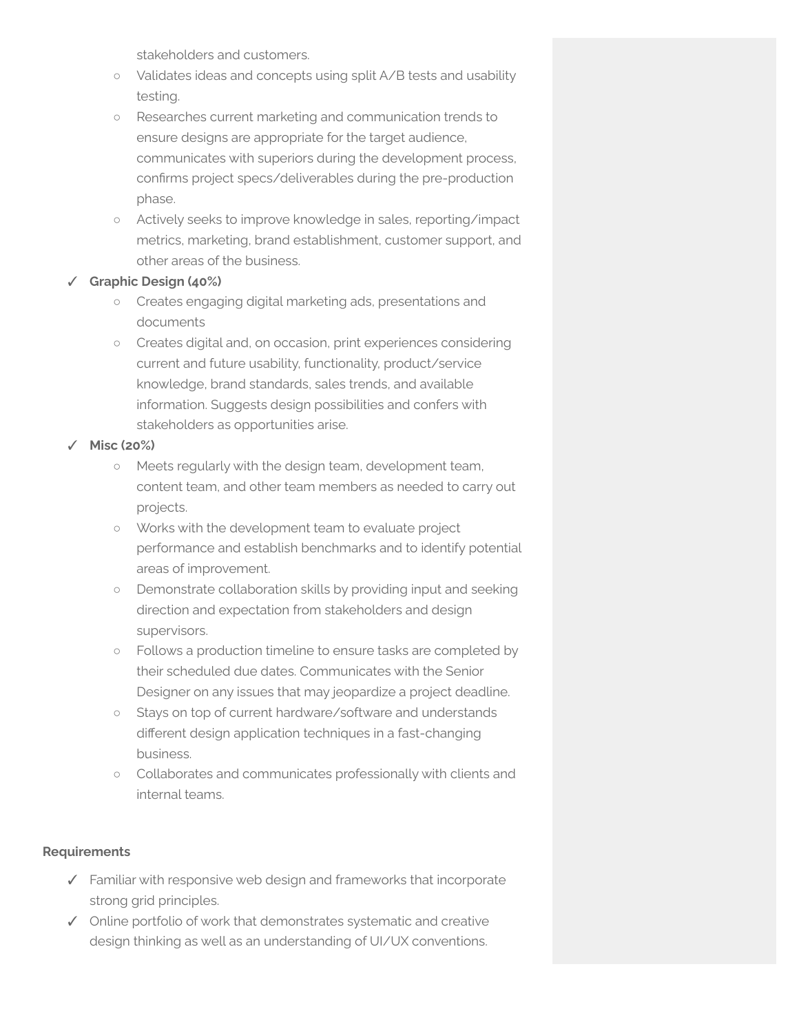stakeholders and customers.

- Validates ideas and concepts using split A/B tests and usability testing.
- Researches current marketing and communication trends to ensure designs are appropriate for the target audience, communicates with superiors during the development process, confirms project specs/deliverables during the pre-production phase.
- Actively seeks to improve knowledge in sales, reporting/impact metrics, marketing, brand establishment, customer support, and other areas of the business.

#### ✓ **Graphic Design (40%)**

- Creates engaging digital marketing ads, presentations and documents
- Creates digital and, on occasion, print experiences considering current and future usability, functionality, product/service knowledge, brand standards, sales trends, and available information. Suggests design possibilities and confers with stakeholders as opportunities arise.

#### ✓ **Misc (20%)**

- Meets regularly with the design team, development team, content team, and other team members as needed to carry out projects.
- Works with the development team to evaluate project performance and establish benchmarks and to identify potential areas of improvement.
- Demonstrate collaboration skills by providing input and seeking direction and expectation from stakeholders and design supervisors.
- Follows a production timeline to ensure tasks are completed by their scheduled due dates. Communicates with the Senior Designer on any issues that may jeopardize a project deadline.
- Stays on top of current hardware/software and understands different design application techniques in a fast-changing business.
- Collaborates and communicates professionally with clients and internal teams.

#### **Requirements**

- ✓ Familiar with responsive web design and frameworks that incorporate strong grid principles.
- ✓ Online portfolio of work that demonstrates systematic and creative design thinking as well as an understanding of UI/UX conventions.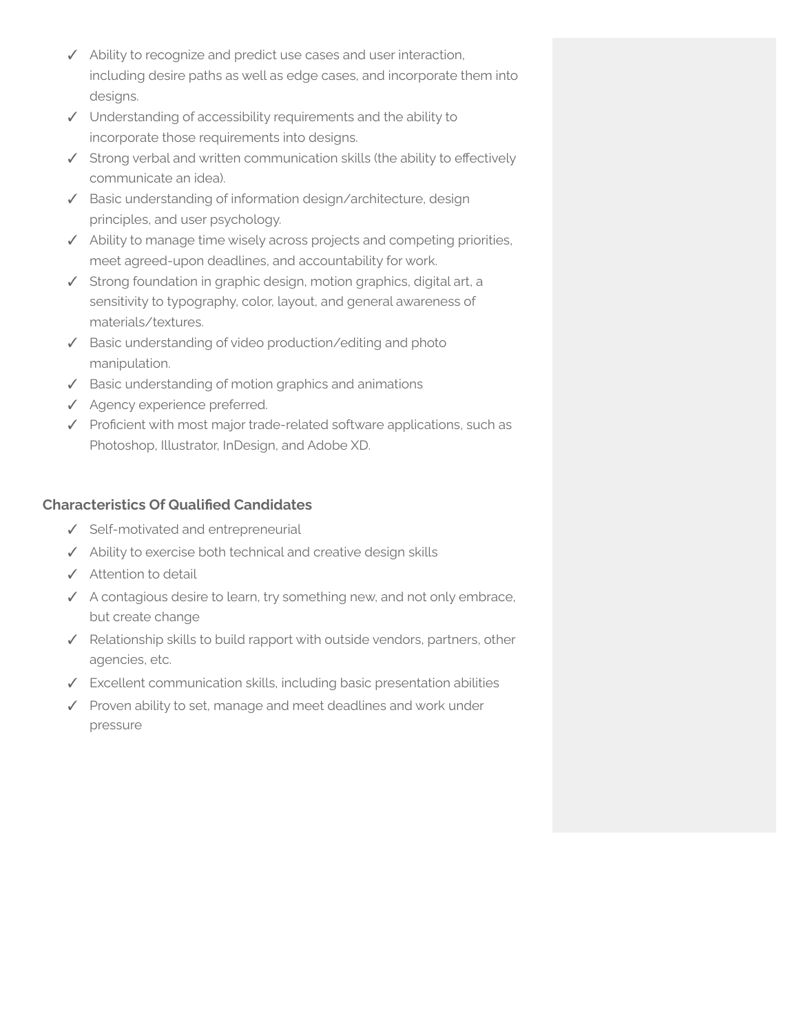- ✓ Ability to recognize and predict use cases and user interaction, including desire paths as well as edge cases, and incorporate them into designs.
- ✓ Understanding of accessibility requirements and the ability to incorporate those requirements into designs.
- ✓ Strong verbal and written communication skills (the ability to effectively communicate an idea).
- ✓ Basic understanding of information design/architecture, design principles, and user psychology.
- ✓ Ability to manage time wisely across projects and competing priorities, meet agreed-upon deadlines, and accountability for work.
- ✓ Strong foundation in graphic design, motion graphics, digital art, a sensitivity to typography, color, layout, and general awareness of materials/textures.
- ✓ Basic understanding of video production/editing and photo manipulation.
- ✓ Basic understanding of motion graphics and animations
- ✓ Agency experience preferred.
- ✓ Proficient with most major trade-related software applications, such as Photoshop, Illustrator, InDesign, and Adobe XD.

## **Characteristics Of Qualified Candidates**

- ✓ Self-motivated and entrepreneurial
- ✓ Ability to exercise both technical and creative design skills
- ✓ Attention to detail
- ✓ A contagious desire to learn, try something new, and not only embrace, but create change
- ✓ Relationship skills to build rapport with outside vendors, partners, other agencies, etc.
- ✓ Excellent communication skills, including basic presentation abilities
- ✓ Proven ability to set, manage and meet deadlines and work under pressure